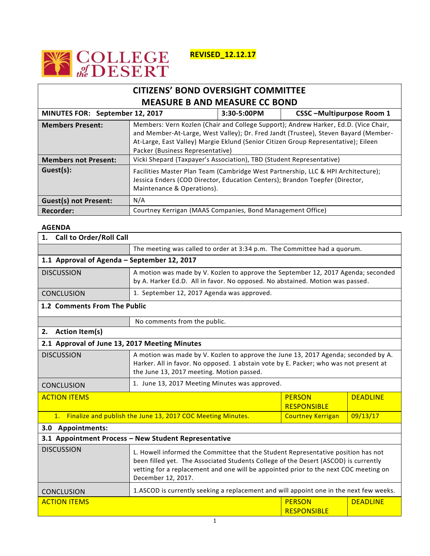

**REVISED\_12.12.17**

## **CITIZENS' BOND OVERSIGHT COMMITTEE MEASURE B AND MEASURE CC BOND MINUTES FOR: September 12, 2017 3:30-5:00PM CSSC –Multipurpose Room 1 Members Present:** Members: Vern Kozlen (Chair and College Support); Andrew Harker, Ed.D. (Vice Chair, and Member-At-Large, West Valley); Dr. Fred Jandt (Trustee), Steven Bayard (Member-At-Large, East Valley) Margie Eklund (Senior Citizen Group Representative); Eileen Packer (Business Representative) **Members not Present:** Vicki Shepard (Taxpayer's Association), TBD (Student Representative) Guest(s): Facilities Master Plan Team (Cambridge West Partnership, LLC & HPI Architecture); Jessica Enders (COD Director, Education Centers); Brandon Toepfer (Director, Maintenance & Operations). **Guest(s) not Present:** N/A **Recorder:** Courtney Kerrigan (MAAS Companies, Bond Management Office)

## **AGENDA**

| 1. Call to Order/Roll Call                                     |                                                                                                                                                                                                                                                                                        |                                     |                 |  |  |
|----------------------------------------------------------------|----------------------------------------------------------------------------------------------------------------------------------------------------------------------------------------------------------------------------------------------------------------------------------------|-------------------------------------|-----------------|--|--|
|                                                                | The meeting was called to order at 3:34 p.m. The Committee had a quorum.                                                                                                                                                                                                               |                                     |                 |  |  |
| 1.1 Approval of Agenda - September 12, 2017                    |                                                                                                                                                                                                                                                                                        |                                     |                 |  |  |
| <b>DISCUSSION</b>                                              | A motion was made by V. Kozlen to approve the September 12, 2017 Agenda; seconded<br>by A. Harker Ed.D. All in favor. No opposed. No abstained. Motion was passed.                                                                                                                     |                                     |                 |  |  |
| CONCLUSION                                                     | 1. September 12, 2017 Agenda was approved.                                                                                                                                                                                                                                             |                                     |                 |  |  |
| 1.2 Comments From The Public                                   |                                                                                                                                                                                                                                                                                        |                                     |                 |  |  |
|                                                                | No comments from the public.                                                                                                                                                                                                                                                           |                                     |                 |  |  |
| 2. Action Item(s)                                              |                                                                                                                                                                                                                                                                                        |                                     |                 |  |  |
| 2.1 Approval of June 13, 2017 Meeting Minutes                  |                                                                                                                                                                                                                                                                                        |                                     |                 |  |  |
| <b>DISCUSSION</b>                                              | A motion was made by V. Kozlen to approve the June 13, 2017 Agenda; seconded by A.<br>Harker. All in favor. No opposed. 1 abstain vote by E. Packer; who was not present at<br>the June 13, 2017 meeting. Motion passed.                                                               |                                     |                 |  |  |
| CONCLUSION                                                     | 1. June 13, 2017 Meeting Minutes was approved.                                                                                                                                                                                                                                         |                                     |                 |  |  |
| <b>ACTION ITEMS</b>                                            |                                                                                                                                                                                                                                                                                        | <b>PERSON</b><br><b>RESPONSIBLE</b> | <b>DEADLINE</b> |  |  |
| 1. Finalize and publish the June 13, 2017 COC Meeting Minutes. |                                                                                                                                                                                                                                                                                        | <b>Courtney Kerrigan</b>            | 09/13/17        |  |  |
| 3.0 Appointments:                                              |                                                                                                                                                                                                                                                                                        |                                     |                 |  |  |
| 3.1 Appointment Process - New Student Representative           |                                                                                                                                                                                                                                                                                        |                                     |                 |  |  |
| <b>DISCUSSION</b>                                              | L. Howell informed the Committee that the Student Representative position has not<br>been filled yet. The Associated Students College of the Desert (ASCOD) is currently<br>vetting for a replacement and one will be appointed prior to the next COC meeting on<br>December 12, 2017. |                                     |                 |  |  |
| <b>CONCLUSION</b>                                              | 1.ASCOD is currently seeking a replacement and will appoint one in the next few weeks.                                                                                                                                                                                                 |                                     |                 |  |  |
| <b>ACTION ITEMS</b>                                            |                                                                                                                                                                                                                                                                                        | <b>PERSON</b><br><b>RESPONSIBLE</b> | <b>DEADLINE</b> |  |  |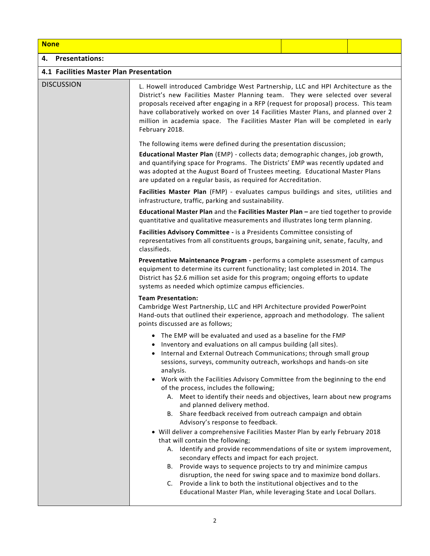## **None 4. Presentations: 4.1 Facilities Master Plan Presentation**  DISCUSSION L. Howell introduced Cambridge West Partnership, LLC and HPI Architecture as the District's new Facilities Master Planning team. They were selected over several proposals received after engaging in a RFP (request for proposal) process. This team have collaboratively worked on over 14 Facilities Master Plans, and planned over 2 million in academia space. The Facilities Master Plan will be completed in early February 2018. The following items were defined during the presentation discussion; **Educational Master Plan** (EMP) - collects data; demographic changes, job growth, and quantifying space for Programs. The Districts' EMP was recently updated and was adopted at the August Board of Trustees meeting. Educational Master Plans are updated on a regular basis, as required for Accreditation. **Facilities Master Plan** (FMP) - evaluates campus buildings and sites, utilities and infrastructure, traffic, parking and sustainability. **Educational Master Plan** and the **Facilities Master Plan –** are tied together to provide quantitative and qualitative measurements and illustrates long term planning. **Facilities Advisory Committee -** is a Presidents Committee consisting of representatives from all constituents groups, bargaining unit, senate, faculty, and classifieds.  **Preventative Maintenance Program -** performs a complete assessment of campus equipment to determine its current functionality; last completed in 2014. The District has \$2.6 million set aside for this program; ongoing efforts to update systems as needed which optimize campus efficiencies. **Team Presentation:**  Cambridge West Partnership, LLC and HPI Architecture provided PowerPoint Hand-outs that outlined their experience, approach and methodology. The salient points discussed are as follows; The EMP will be evaluated and used as a baseline for the FMP • Inventory and evaluations on all campus building (all sites). • Internal and External Outreach Communications; through small group sessions, surveys, community outreach, workshops and hands-on site analysis. Work with the Facilities Advisory Committee from the beginning to the end of the process, includes the following; A. Meet to identify their needs and objectives, learn about new programs and planned delivery method. B. Share feedback received from outreach campaign and obtain Advisory's response to feedback. Will deliver a comprehensive Facilities Master Plan by early February 2018 that will contain the following; A. Identify and provide recommendations of site or system improvement, secondary effects and impact for each project. B. Provide ways to sequence projects to try and minimize campus

- disruption, the need for swing space and to maximize bond dollars.
- C. Provide a link to both the institutional objectives and to the Educational Master Plan, while leveraging State and Local Dollars.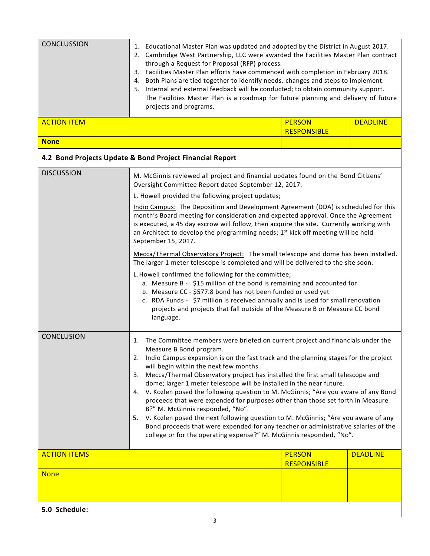| <b>CONCLUSSION</b>           | 1. Educational Master Plan was updated and adopted by the District in August 2017.<br>2. Cambridge West Partnership, LLC were awarded the Facilities Master Plan contract<br>through a Request for Proposal (RFP) process.<br>3. Facilities Master Plan efforts have commenced with completion in February 2018.<br>4. Both Plans are tied together to identify needs, changes and steps to implement.<br>5. Internal and external feedback will be conducted; to obtain community support.<br>The Facilities Master Plan is a roadmap for future planning and delivery of future<br>projects and programs.                                                                                                                                                                                                                                                                                 |                                     |                 |  |
|------------------------------|---------------------------------------------------------------------------------------------------------------------------------------------------------------------------------------------------------------------------------------------------------------------------------------------------------------------------------------------------------------------------------------------------------------------------------------------------------------------------------------------------------------------------------------------------------------------------------------------------------------------------------------------------------------------------------------------------------------------------------------------------------------------------------------------------------------------------------------------------------------------------------------------|-------------------------------------|-----------------|--|
| <b>ACTION ITEM</b>           |                                                                                                                                                                                                                                                                                                                                                                                                                                                                                                                                                                                                                                                                                                                                                                                                                                                                                             | <b>PERSON</b><br><b>RESPONSIBLE</b> | <b>DEADLINE</b> |  |
| <b>None</b>                  |                                                                                                                                                                                                                                                                                                                                                                                                                                                                                                                                                                                                                                                                                                                                                                                                                                                                                             |                                     |                 |  |
|                              | 4.2 Bond Projects Update & Bond Project Financial Report                                                                                                                                                                                                                                                                                                                                                                                                                                                                                                                                                                                                                                                                                                                                                                                                                                    |                                     |                 |  |
| <b>DISCUSSION</b>            | M. McGinnis reviewed all project and financial updates found on the Bond Citizens'<br>Oversight Committee Report dated September 12, 2017.                                                                                                                                                                                                                                                                                                                                                                                                                                                                                                                                                                                                                                                                                                                                                  |                                     |                 |  |
|                              | L. Howell provided the following project updates;<br>Indio Campus: The Deposition and Development Agreement (DDA) is scheduled for this<br>month's Board meeting for consideration and expected approval. Once the Agreement<br>is executed, a 45 day escrow will follow, then acquire the site. Currently working with<br>an Architect to develop the programming needs; 1 <sup>st</sup> kick off meeting will be held                                                                                                                                                                                                                                                                                                                                                                                                                                                                     |                                     |                 |  |
|                              | September 15, 2017.<br>Mecca/Thermal Observatory Project: The small telescope and dome has been installed.<br>The larger 1 meter telescope is completed and will be delivered to the site soon.<br>L. Howell confirmed the following for the committee;<br>a. Measure B - \$15 million of the bond is remaining and accounted for<br>b. Measure CC - \$577.8 bond has not been funded or used yet<br>c. RDA Funds - \$7 million is received annually and is used for small renovation<br>projects and projects that fall outside of the Measure B or Measure CC bond<br>language.                                                                                                                                                                                                                                                                                                           |                                     |                 |  |
| CONCLUSION                   | The Committee members were briefed on current project and financials under the<br>1.<br>Measure B Bond program.<br>2. Indio Campus expansion is on the fast track and the planning stages for the project<br>will begin within the next few months.<br>Mecca/Thermal Observatory project has installed the first small telescope and<br>3.<br>dome; larger 1 meter telescope will be installed in the near future.<br>V. Kozlen posed the following question to M. McGinnis; "Are you aware of any Bond<br>4.<br>proceeds that were expended for purposes other than those set forth in Measure<br>B?" M. McGinnis responded, "No".<br>V. Kozlen posed the next following question to M. McGinnis; "Are you aware of any<br>5.<br>Bond proceeds that were expended for any teacher or administrative salaries of the<br>college or for the operating expense?" M. McGinnis responded, "No". |                                     |                 |  |
| <b>ACTION ITEMS</b>          |                                                                                                                                                                                                                                                                                                                                                                                                                                                                                                                                                                                                                                                                                                                                                                                                                                                                                             | <b>PERSON</b><br><b>RESPONSIBLE</b> | <b>DEADLINE</b> |  |
| <b>None</b><br>5.0 Schedule: |                                                                                                                                                                                                                                                                                                                                                                                                                                                                                                                                                                                                                                                                                                                                                                                                                                                                                             |                                     |                 |  |